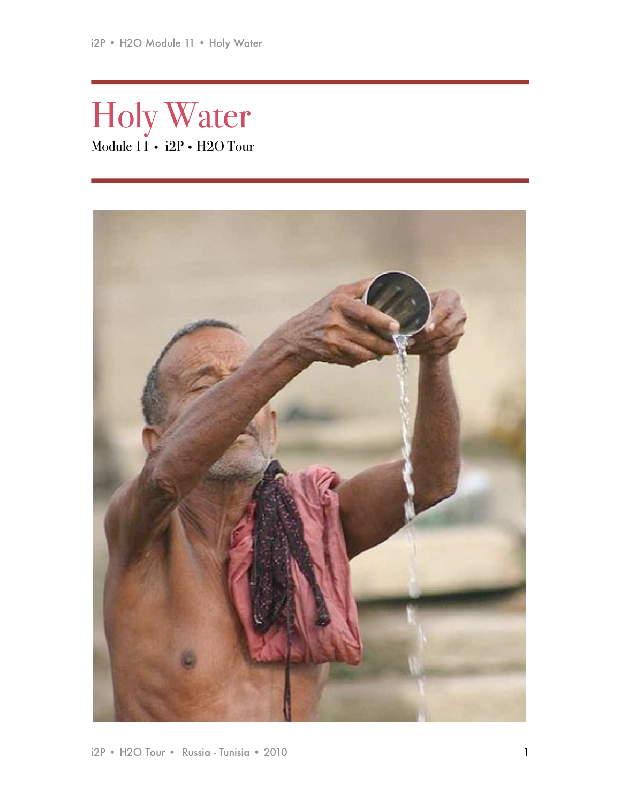Holy Water Module 11 • i2P • H2O Tour

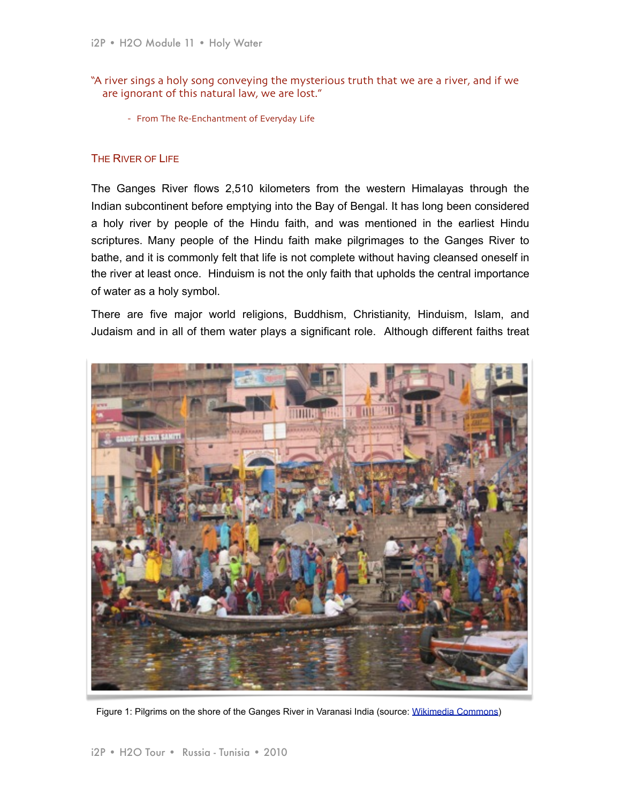- "A river sings a holy song conveying the mysterious truth that we are a river, and if we are ignorant of this natural law, we are lost."
	- From The Re-Enchantment of Everyday Life

## THE RIVER OF LIFE

The Ganges River flows 2,510 kilometers from the western Himalayas through the Indian subcontinent before emptying into the Bay of Bengal. It has long been considered a holy river by people of the Hindu faith, and was mentioned in the earliest Hindu scriptures. Many people of the Hindu faith make pilgrimages to the Ganges River to bathe, and it is commonly felt that life is not complete without having cleansed oneself in the river at least once. Hinduism is not the only faith that upholds the central importance of water as a holy symbol.

There are five major world religions, Buddhism, Christianity, Hinduism, Islam, and Judaism and in all of them water plays a significant role. Although different faiths treat



Figure 1: Pilgrims on the shore of the Ganges River in Varanasi India (source: [Wikimedia Commons\)](http://upload.wikimedia.org/wikipedia/commons/2/22/Ganges_river_at_Varanasi_2008.jpeg)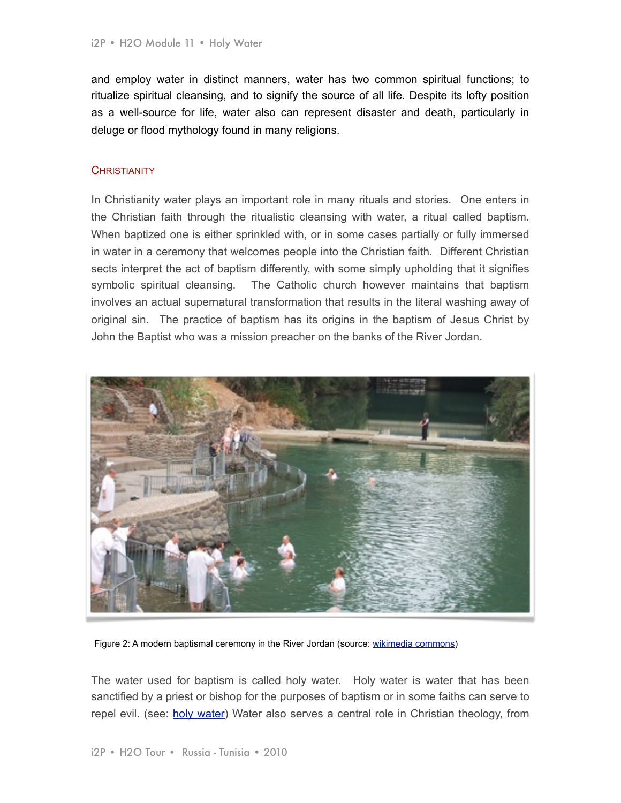and employ water in distinct manners, water has two common spiritual functions; to ritualize spiritual cleansing, and to signify the source of all life. Despite its lofty position as a well-source for life, water also can represent disaster and death, particularly in deluge or flood mythology found in many religions.

## **CHRISTIANITY**

In Christianity water plays an important role in many rituals and stories. One enters in the Christian faith through the ritualistic cleansing with water, a ritual called baptism. When baptized one is either sprinkled with, or in some cases partially or fully immersed in water in a ceremony that welcomes people into the Christian faith. Different Christian sects interpret the act of baptism differently, with some simply upholding that it signifies symbolic spiritual cleansing. The Catholic church however maintains that baptism involves an actual supernatural transformation that results in the literal washing away of original sin. The practice of baptism has its origins in the baptism of Jesus Christ by John the Baptist who was a mission preacher on the banks of the River Jordan.



Figure 2: A modern baptismal ceremony in the River Jordan (source: [wikimedia commons\)](http://commons.wikimedia.org/wiki/File:Yardenit_-_Jordan_River_2.JPG)

The water used for baptism is called holy water. Holy water is water that has been sanctified by a priest or bishop for the purposes of baptism or in some faiths can serve to repel evil. (see: [holy water\)](http://www.religionfacts.com/christianity/things/holy_water.htm) Water also serves a central role in Christian theology, from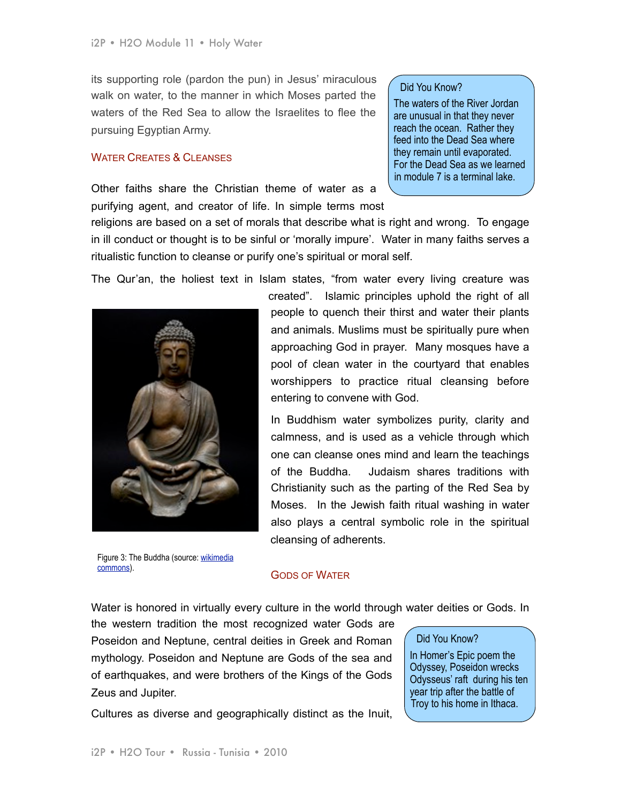its supporting role (pardon the pun) in Jesus' miraculous walk on water, to the manner in which Moses parted the waters of the Red Sea to allow the Israelites to flee the pursuing Egyptian Army.

### WATER CREATES & CLEANSES

Other faiths share the Christian theme of water as a purifying agent, and creator of life. In simple terms most

#### Did You Know?

The waters of the River Jordan are unusual in that they never reach the ocean. Rather they feed into the Dead Sea where they remain until evaporated. For the Dead Sea as we learned in module 7 is a terminal lake.

religions are based on a set of morals that describe what is right and wrong. To engage in ill conduct or thought is to be sinful or 'morally impure'. Water in many faiths serves a ritualistic function to cleanse or purify one's spiritual or moral self.

The Qur'an, the holiest text in Islam states, "from water every living creature was



Figure 3: The Buddha (source: [wikimedia](http://commons.wikimedia.org/wiki/File:Buddha_1251876.jpg)  [commons\)](http://commons.wikimedia.org/wiki/File:Buddha_1251876.jpg).

created". Islamic principles uphold the right of all people to quench their thirst and water their plants and animals. Muslims must be spiritually pure when approaching God in prayer. Many mosques have a pool of clean water in the courtyard that enables worshippers to practice ritual cleansing before entering to convene with God.

In Buddhism water symbolizes purity, clarity and calmness, and is used as a vehicle through which one can cleanse ones mind and learn the teachings of the Buddha. Judaism shares traditions with Christianity such as the parting of the Red Sea by Moses. In the Jewish faith ritual washing in water also plays a central symbolic role in the spiritual cleansing of adherents.

## GODS OF WATER

Water is honored in virtually every culture in the world through water deities or Gods. In

the western tradition the most recognized water Gods are Poseidon and Neptune, central deities in Greek and Roman mythology. Poseidon and Neptune are Gods of the sea and of earthquakes, and were brothers of the Kings of the Gods Zeus and Jupiter.

Did You Know?

In Homer's Epic poem the Odyssey, Poseidon wrecks Odysseus' raft during his ten year trip after the battle of Troy to his home in Ithaca.

Cultures as diverse and geographically distinct as the Inuit,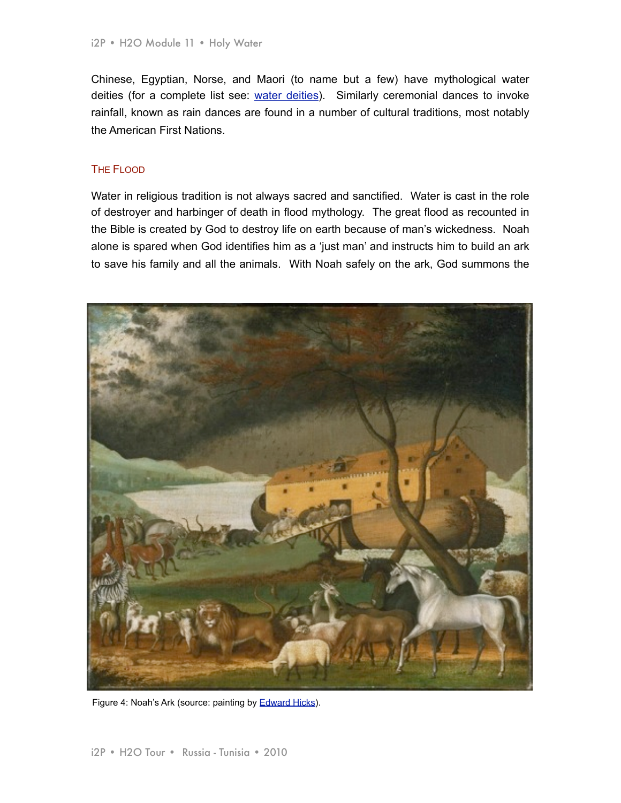Chinese, Egyptian, Norse, and Maori (to name but a few) have mythological water deities (for a complete list see: [water deities](http://en.wikipedia.org/wiki/Water_deity%23Norse.2FGermanic)). Similarly ceremonial dances to invoke rainfall, known as rain dances are found in a number of cultural traditions, most notably the American First Nations.

## THE FLOOD.

Water in religious tradition is not always sacred and sanctified. Water is cast in the role of destroyer and harbinger of death in flood mythology. The great flood as recounted in the Bible is created by God to destroy life on earth because of man's wickedness. Noah alone is spared when God identifies him as a 'just man' and instructs him to build an ark to save his family and all the animals. With Noah safely on the ark, God summons the



Figure 4: Noah's Ark (source: painting by [Edward Hicks\)](http://en.wikipedia.org/wiki/File:Noahs_Ark.jpg).